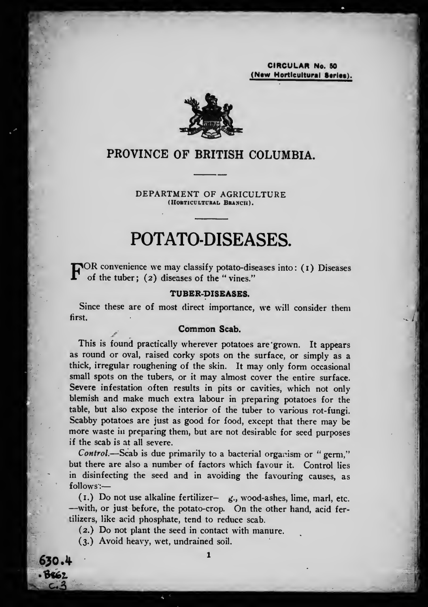CIRCULAR No. 60 (New Hortlcultural Series).

il



## PROVINCE OF BRITISH COLUMBIA.

DEPARTMENT OF AGRICULTURE (HORTICULTURAL BRANCII).

# POTATO-DISEASES.

TOR convenience we may classify potato-diseases into: (1) Diseases of the tuber ; (2) diseases of the " vines."

#### TUBER-piSEASES.

Since these are of most direct importance, we will consider them first.

#### Common Scab.

This is found practically wherever potatoes are 'grown. It appears as round or oval, raised corky spots on the surface, or simply as a thick, irregular roughening of the skin. It may only form occasional small spots on the tubers, or it may almost cover the entire surface. Severe infestation often results in pits or cavities, which not only blemish and make much extra labour in preparing potatoes for the table, but also expose the interior of the tuber to various rot-fungi. Scabby potatoes are just as good for food, except that there may be more waste in preparing them, but are not desirable for seed purposes if the scab is at all severe.

Control.—Scab is due primarily to a bacterial organism or "germ," but there are also a number of factors which favour it. Control lies in disinfecting the seed and in avoiding the favouring causes, as follows:

(I.) Do not use alkaline fertilizer-  $g$ ., wood-ashes, lime, marl, etc. —with, or just before, the potato-crop. On the other hand, acid fertilizers, like acid phosphate, tend to reduce scab.

(2.) Do not plant the seed in contact with manure.

(3.) Avoid heavy, wet, undrained soil.

630.4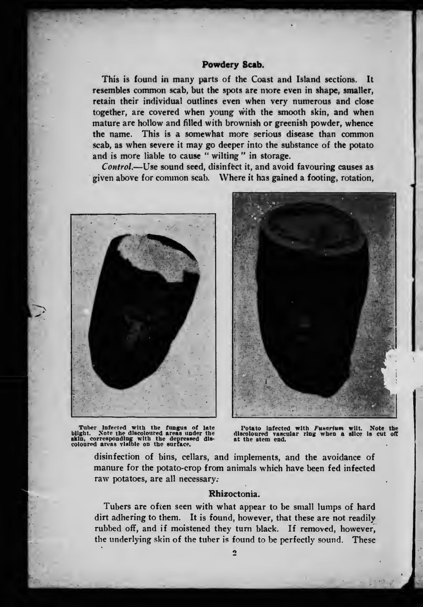#### Powdery Scab.

This is found in many parts of the Coast and Island sections. It resembles common scab, but the spots are more even in shape, smaller, retain their individual outlines even when very numerous and close together, are covered when young with the smooth skin, and when mature are hollow and filled with brownish or greenish powder, whence the name. This is a somewhat more serious disease than common scab, as when severe it may go deeper into the substance of the potato and is more liable to cause " wilting " in storage.

Control,—Use sound seed, disinfect it, and avoid favouring causes as given above for common scab. Where it has gained a footing, rotation.



Tuber Infected with the fungus of late<br>blight. Note the discoloured areas under the<br>skin, corresponding with the depressed dis-<br>coloured areas visible on the surface.



Potato infected with Fusarium wilt. Note the discoloured vascular ring when a slice is cut off at the stem end.

disinfection of bins, cellars, and implements, and the avoidance of manure for the potato-crop from animals which have been fed infected raw potatoes, are all necessary.

#### Rhizoctonia.

Tubers are often seen with what appear to be small lumps of hard dirt adhering to them. It is found, however, that these are not readily rubbed off, and if moistened they turn black. If removed, however, the underlying skin of the tuber is found to be perfectly sound. These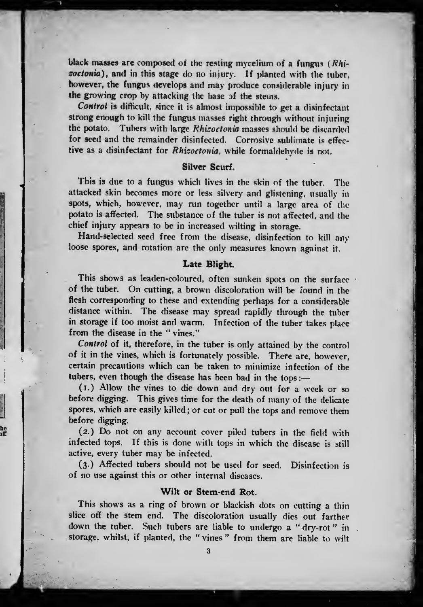black masses are composed of the resting mycelium of a fungus  $(Rhi$ soctonia), and in this stage do no injury. If planted with the tuber, however, the fungus develops and may produce considerable injury in the growing crop by attacking the base of the steins.

Control is difficult, since it is almost impossible to get a disinfectant strong enough to kill the fungus masses right through without injuring the potato. Tubers with large Khisoctonia masses should be discarded for seed and the remainder disinfected. Corrosive sublimate is effective as a disinfectant for Rhizoctonia, while formaldehyde is not.

#### Silver Scurf.

This is due to a fungus which lives in the skin of the tuber. The attacked skin becomes more or less silvery and glistening, usually in spots, which, however, may run together until a large area of the potato is affected. The substance of the tuber is not affected, and the chief injury appears to be in increased wilting in storage.

Hand-selected seed free from the disease, disinfection to kill any loose spores, and rotation are the only measures known against it.

#### Late Blight.

This shows as leaden-coloured, often sunken spots on the surface of the tuber. On cutting, <sup>a</sup> brown discoloration will be found in the flesh corresponding to these and extending perhaps for a considerable distance within. The disease may spread rapidly through the tuber in storage if too moist and warm. Infection of the tuber takes place from the disease in the " vines."

Control of it, therefore, in the tuber is only attained by the control of it in the vines, which is fortunately possible. There are, however, certain precautions which can be taken to minimize infection of the tubers, even though the disease has been bad in the tops :

(I.) Allow the vines to die down and dry out for a week or so before digging. This gives time for the death of many of the delicate spores, which are easily killed ; or cut or pull the tops and remove them before digging.

(2.) Do not on any account cover piled tubers in the field with infected tops. If this is done with tops in which the disease is still active, every tuber may be infected.

he<br>bit

(3.) Affected tubers should not be used for seed. Disinfection is of no use against this or other internal diseases.

#### Wilt or Stem-end Rot.

This shows as a ring of brown or blackish dots on cutting a thin slice off the stem end. The discoloration usually dies out farther down the tuber. Such tubers are liable to undergo a "dry-rot" in. storage, whilst, if planted, the " vines " from them are liable to wilt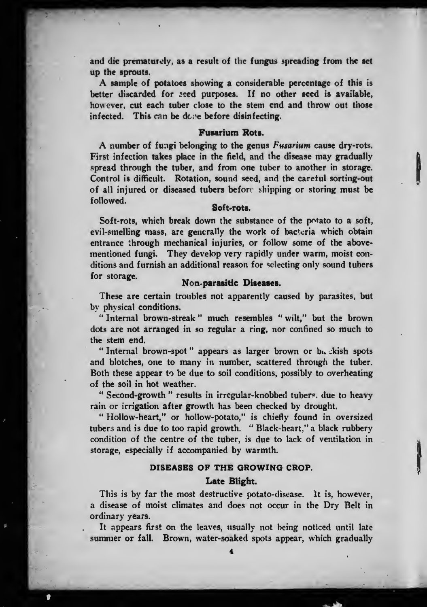and die prematurely, as a result of the fungus spreading from the set up the sprouts.

A sample of potatoes showing <sup>a</sup> considerable percentage of this is better discarded for seed purposes. If no other seed is available, however, cut each tuber close to the stem end and throw out those infected. This can be done before disinfecting.

#### Fusarium Rots.

A number of fungi belonging to the genus Fusarium cause dry-rots. First infection takes place in the field, and the disease may gradually spread through the tuber, and from one tuber to another in storage. Control is difficult. Rotation, sound seed, and the careful sorting-out of all injured or diseased tubers before shipping or storing must be followed.

v.

 $\mathbf{r}$ 

#### Soft-rots.

Soft-rots, which break down the substance of the potato to a soft, evil-smelling mass, are generally the work of bacteria which obtain entrance through mechanical injuries, or follow some of the abovementioned fungi. They develop very rapidly under warm, moist conditions and furnish an additional reason for selecting only sound tubers for storage. Mon-parasitic Diseases.

These are certain troubles not apparently caused by parasites, but by physical conditions.

" Internal brown-streak " much resembles " wilt," but the brown dots are not arranged in so regular a ring, nor confined so much to the stem end.

" Internal brown-spot" appears as larger brown or buckish spots and blotches, one to many in number, scattered through the tuber. Both these appear to be due to soil conditions, possibly to overheating of the soil in hot weather.

" Second-growth " results in irregular-knobbed tubers, due to heavy rain or irrigation after growth has been checked by drought.

" Hollow-heart," or hollow-potato," is chiefly found in oversized tubers and is due to too rapid growth. " Black-heart," a black rubbery condition of the centre of the tuber, is due to lack of ventilation in storage, especially if accompanied by warmth.

#### DISEASES OF THE GROWING CROP.

#### Late Blight.

This is by far the most destructive potato-disease. It is, however, a disease of moist climates and does not occur in the Dry Belt in ordinary years.

It appears first on the leaves, usually not being noticed until late summer or fall. Brown, water-soaked spots appear, which gradually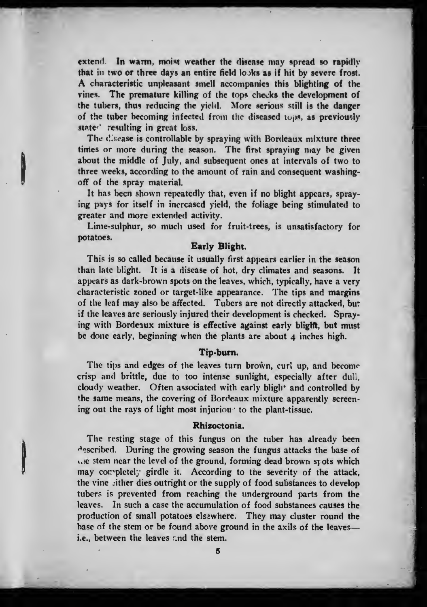extend. In warm, moist weather the disease may spread so rapidly that in two or three days an entire field looks as if hit by severe frost. A characteristic unpleasant smell accompanies this blighting of the vines. The premature killing of the tops checks the development of the tubers, thus reducing the yield. More serious still is the danger of the tuber becoming infected from the diseased tops, as previously state<sup>,</sup> resulting in great loss.

The disease is controllable by spraying with Bordeaux mixture three times or more during the season. The first spraying niay be given about the middle of July, and subsequent ones at intervals of two to three weeks, according to the amount of rain and consequent washingoff of the spray material.

It has been shown repeatedly that, even if no blight appears, spray ing pays for itself in increased yield, the foliage being stimulated to greater and more extended activity.

**I** 

Lime-sulphur, so much used for fruit-trees, is unsatisfactory for potatoes.

#### Early Blight.

This is so called because it usually first appears earlier in the season than late blight. It is a disease of hot, dry climates and seasons. It appears as dark-brown spots on the leaves, which, typically, have a very characteristic zoned or target-like appearance. The tips and margins of the leaf may also be affected. Tubers are not directly attacked, bu: if the leaves are seriously injured their development is checked. Spraying with Bordeaux mixture is effective against early blight, but must be done early, beginning when the plants are about 4 inches high.

#### Tip-bum.

The tips and edges of the leaves turn brown, curl up, and become crisp and brittle, due to too intense sunlight, especially after dull, cloudy weather. Often associated with early bligh<sup>+</sup> and controlled by the same means, the covering of Bordeaux mixture apparently screen ing out the rays of light most injuriou to the plant-tissue.

#### Rhizoctonia.

The resting stage of this fungus on the tuber has already been described. During the growing season the fungus attacks the base of i.ie stem near the level of the ground, forming dead brown sfots which may conpletely girdle it. According to the severity of the attack, the vine .ither dies outright or the supply of food substances to develop tubers is prevented from reaching the underground parts from the leaves. In such a case the accumulation of food substances causes the production of small potatoes elsewhere. They may cluster round the base of the stem or be found above ground in the axils of the leavesi.e., between the leaves and the stem.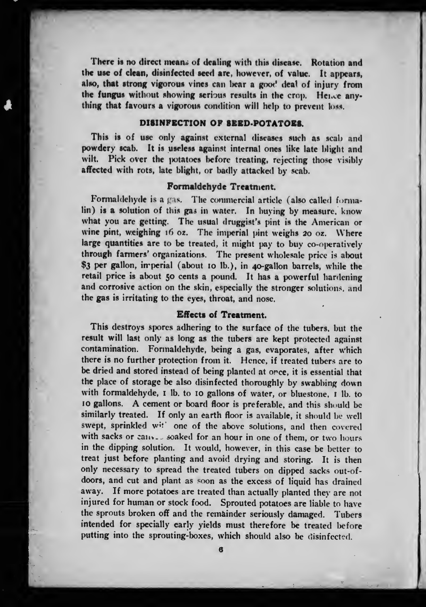There is no direct means of dealing with this disease. Rotation and the use of clean, disinfected seed are, however, of value. It appears, also, that strong vigorous vines can liear a goot' deal of injury from the fungus without showing serious results in the crop. Hence anything that favours a vigorous condition will help to prevent loss.

### DISINPECTION OF SEED-POTATOES.

This is of use only against external diseases such as scab and powdery scab. It is useless against internal ones like late blight and wilt. Pick over the potatoes before treating, rejecting those visibly affected with rots, late blight, or badly attacked by scab.

#### Formaldehyde Treatment.

Formaldehyde is a gas. The commercial article (also called formalin) is a solution of this gas in water. In buying by measure, know what you are getting. The usual druggist's pint is the American or wine pint, weighing  $16$  oz. The imperial pint weighs 20 oz. Where large quantities are to be treated, it might pay to buy co-operatively through farmers' organizations. The present wholesale price is about \$3 per gallon, imperial (about 10 lb.), in 40-gallon barrels, while the retail price is about 50 cents a pound. It has a powerful hardening and corrosive action on the skin, especially the stronger solutions, and the gas is irritating to the eyes, throat, and nose.

#### Effects of Treatment.

This destroys spores adhering to the surface of the tubers, but the result will last only as long as the tubers are kept protected against contamination. Formaldehyde, being a gas, evaporates, after which there is no further protection from it. Hence, if treated tubers are to be dried and stored instead of being planted at orce, it is essential that the place of storage be also disinfected thoroughly by swabbing down with formaldehyde, I lb. to 10 gallons of water, or bluestone, I lb. to <sup>10</sup> gallons. A cement or board floor is preferable, and this should be similarly treated. If only an earth floor is available, it should be well swept, sprinkled wit' one of the above solutions, and then covered with sacks or canv... soaked for an hour in one of them, or two hours in the dipping solution. It would, however, in this case be better to treat just before planting and avoid drying and storing. It is then only necessary to spread the treated tubers on dipped sacks out-ofdoors, and cut and plant as soon as the excess of liquid has drained away. If more potatoes are treated than actually planted they are not injured for human or stock food. Sprouted potatoes are liable to have the sprouts broken off and the remainder seriously damaged. Tubers intended for specially early yields must therefore be treated before putting into the sprouting-boxes, which should also be disinfected.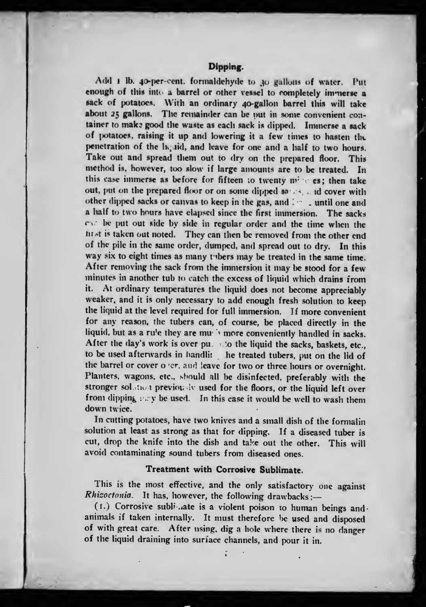#### Dipping.

Add 1 lb. 40-per-cent. formaldehyde to 30 gallons of water. Put enough of this into a barrel or other vessel to completely immerse a sack of potatoes. With an ordinary 40-gallon barrel this will take about 25 gallons. The remainder can be out in some convenient container to make good the waste as each sack is dipped. Immerse a sack of potatoes, raising it up and lowering it a few times to hasten the penetration of the ligald, and leave for one and a half to two hours. Take out and spread them out to dry on the prepared floor. This method is, however, too slow if large amounts are to be treated. In this case immerse as before for fifteen to twenty  $m^2 \leq cs$ ; then take out, put on the prepared floor or on some dipped sands, and cover with other dipped sacks or canvas to keep in the gas, and  $\therefore$  until one and a half to two hours have elapsed since the first immersion. The sacks  $c \vee c$  be put out side by side in regular order and the time when the hist is taken out noted. They can then be removed from the other end of the pile in the same order, dumped, and spread out to dry. In this way six to eight times as many tubers may be treated in the same time. After removing the sack from the immersion it may be stood for <sup>a</sup> few minutes in another tub to catch the excess of liquid which drains from<br>it. At ordinary temperatures the liquid does not become appreciably At ordinary temperatures the liquid does not become appreciably weaker, and it is only necessary to add enough fresh solution to keep the liquid at the level required for full immersion. If more convenient for any reason, the tubers can, of course, be placed directly in the liquid, but as a rule they are mue i more conveniently handled in sacks. After the day's work is over pu.  $\therefore$  to the liquid the sacks, baskets, etc., to be used afterwards in handlit he treated tubers, put on the lid of the barrel or cover o 'er, and leave for two or three hours or overnight. Planters, wagons, etc., should all be disinfected, preferably with the stronger solation previously used for the floors, or the liquid left over from dipping  $y \gg y$  be used. In this case it would be well to wash them down twice.

In cutting potatoes, have two knives and a small dish of the formalin solution at least as strong as that for dipping. If a diseased tuber is cut, drop the knife into the dish and take out the other. This will avoid contaminating sound tubers from diseased ones.

#### Treatment with Corrosive Sublimate.

This is the most effective, and the only satisfactory one against Rhizoctonia. It has, however, the following drawbacks :-

(1.) Corrosive sublimate is a violent poison to human beings andanimals if taken internally. It must therefore be used and disposed of with great care. After using, dig <sup>a</sup> hole where there is no danger of the liquid draining into surface channels, and pour it in.